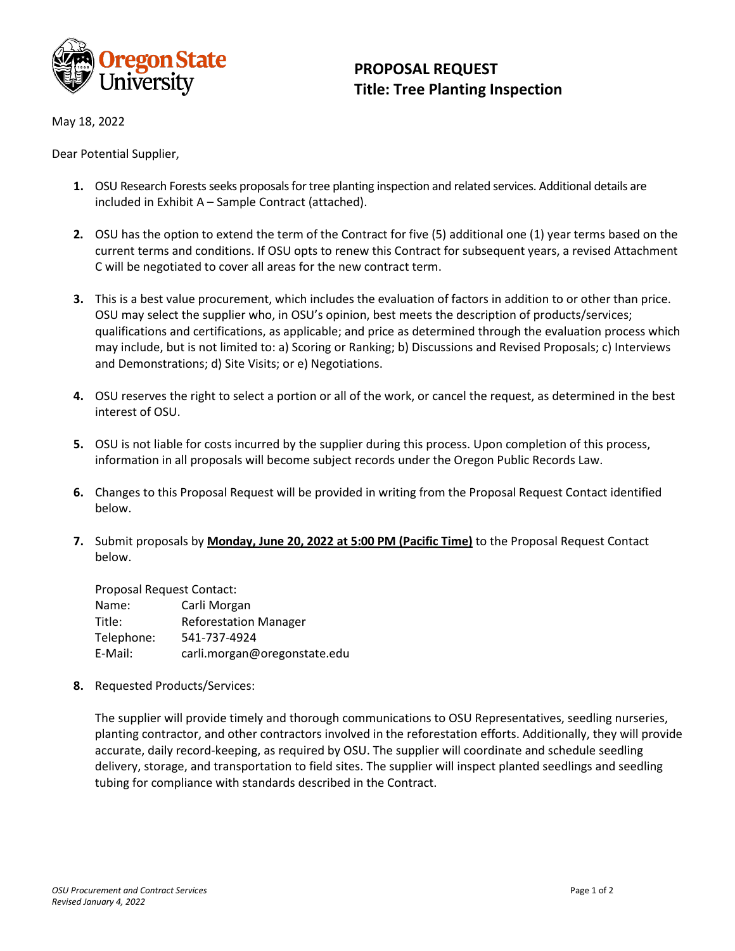

## **PROPOSAL REQUEST Title: Tree Planting Inspection**

May 18, 2022

Dear Potential Supplier,

- 1. OSU Research Forests seeks proposals for tree planting inspection and related services. Additional details are included in Exhibit A – Sample Contract (attached).
- **2.** OSU has the option to extend the term of the Contract for five (5) additional one (1) year terms based on the current terms and conditions. If OSU opts to renew this Contract for subsequent years, a revised Attachment C will be negotiated to cover all areas for the new contract term.
- **3.** This is a best value procurement, which includes the evaluation of factors in addition to or other than price. OSU may select the supplier who, in OSU's opinion, best meets the description of products/services; qualifications and certifications, as applicable; and price as determined through the evaluation process which may include, but is not limited to: a) Scoring or Ranking; b) Discussions and Revised Proposals; c) Interviews and Demonstrations; d) Site Visits; or e) Negotiations.
- **4.** OSU reserves the right to select a portion or all of the work, or cancel the request, as determined in the best interest of OSU.
- **5.** OSU is not liable for costs incurred by the supplier during this process. Upon completion of this process, information in all proposals will become subject records under the Oregon Public Records Law.
- **6.** Changes to this Proposal Request will be provided in writing from the Proposal Request Contact identified below.
- **7.** Submit proposals by **Monday, June 20, 2022 at 5:00 PM (Pacific Time)** to the Proposal Request Contact below.

| Proposal Request Contact: |                              |
|---------------------------|------------------------------|
| Name:                     | Carli Morgan                 |
| Title:                    | <b>Reforestation Manager</b> |
| Telephone:                | 541-737-4924                 |
| E-Mail:                   | carli.morgan@oregonstate.edu |

**8.** Requested Products/Services:

The supplier will provide timely and thorough communications to OSU Representatives, seedling nurseries, planting contractor, and other contractors involved in the reforestation efforts. Additionally, they will provide accurate, daily record-keeping, as required by OSU. The supplier will coordinate and schedule seedling delivery, storage, and transportation to field sites. The supplier will inspect planted seedlings and seedling tubing for compliance with standards described in the Contract.